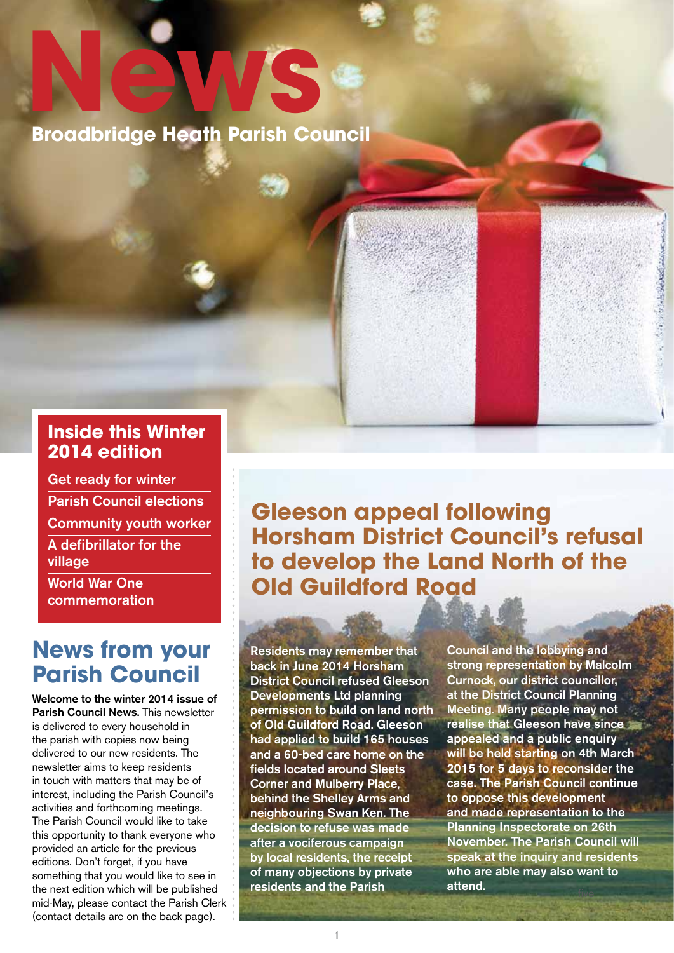**News Broadbridge Heath Parish Council**

#### **Inside this Winter 2014 edition**

Get ready for winter Parish Council elections Community youth worker A defibrillator for the village World War One

commemoration

### **News from your Parish Council**

Welcome to the winter 2014 issue of Parish Council News. This newsletter is delivered to every household in the parish with copies now being delivered to our new residents. The newsletter aims to keep residents in touch with matters that may be of interest, including the Parish Council's activities and forthcoming meetings. The Parish Council would like to take this opportunity to thank everyone who provided an article for the previous editions. Don't forget, if you have something that you would like to see in the next edition which will be published mid-May, please contact the Parish Clerk (contact details are on the back page).

**Gleeson appeal following Horsham District Council's refusal to develop the Land North of the Old Guildford Road**

Residents may remember that back in June 2014 Horsham District Council refused Gleeson Developments Ltd planning permission to build on land north of Old Guildford Road. Gleeson had applied to build 165 houses and a 60-bed care home on the fields located around Sleets Corner and Mulberry Place, behind the Shelley Arms and neighbouring Swan Ken. The decision to refuse was made after a vociferous campaign by local residents, the receipt of many objections by private residents and the Parish

Council and the lobbying and strong representation by Malcolm Curnock, our district councillor, at the District Council Planning Meeting. Many people may not realise that Gleeson have since appealed and a public enquiry will be held starting on 4th March 2015 for 5 days to reconsider the case. The Parish Council continue to oppose this development and made representation to the Planning Inspectorate on 26th November. The Parish Council will speak at the inquiry and residents who are able may also want to attend.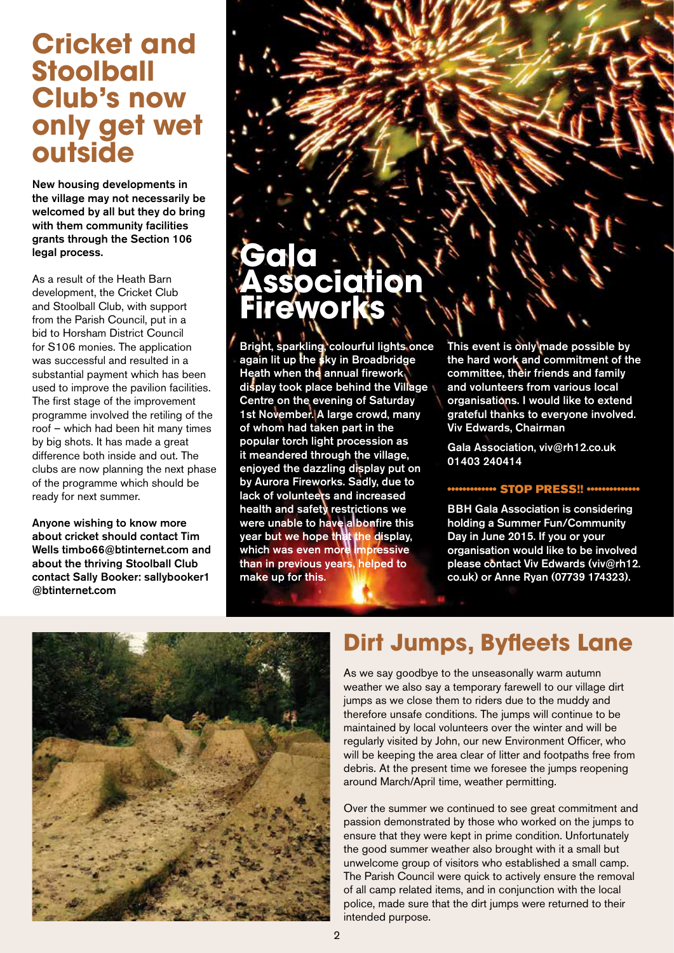# **Cricket and Stoolball Club's now only get wet outside**

New housing developments in the village may not necessarily be welcomed by all but they do bring with them community facilities grants through the Section 106 legal process.

As a result of the Heath Barn development, the Cricket Club and Stoolball Club, with support from the Parish Council, put in a bid to Horsham District Council for S106 monies. The application was successful and resulted in a substantial payment which has been used to improve the pavilion facilities. The first stage of the improvement programme involved the retiling of the roof – which had been hit many times by big shots. It has made a great difference both inside and out. The clubs are now planning the next phase of the programme which should be ready for next summer.

Anyone wishing to know more about cricket should contact Tim Wells timbo66@btinternet.com and about the thriving Stoolball Club contact Sally Booker: sallybooker1 @btinternet.com

# **Gala Association Fireworks**

Bright, sparkling, colourful lights once again lit up the sky in Broadbridge Heath when the annual firework display took place behind the Village Centre on the evening of Saturday 1st November. A large crowd, many of whom had taken part in the popular torch light procession as it meandered through the village, enjoyed the dazzling display put on by Aurora Fireworks. Sadly, due to lack of volunteers and increased health and safety restrictions we were unable to have a bonfire this year but we hope that the display, which was even more impressive than in previous years, helped to make up for this.

This event is only made possible by the hard work and commitment of the committee, their friends and family and volunteers from various local organisations. I would like to extend grateful thanks to everyone involved. Viv Edwards, Chairman

Gala Association, viv@rh12.co.uk 01403 240414

#### •••••••••••••• STOP PRESS!! ••••••••••

BBH Gala Association is considering holding a Summer Fun/Community Day in June 2015. If you or your organisation would like to be involved please contact Viv Edwards (viv@rh12. co.uk) or Anne Ryan (07739 174323).



# **Dirt Jumps, Byfleets Lane**

As we say goodbye to the unseasonally warm autumn weather we also say a temporary farewell to our village dirt jumps as we close them to riders due to the muddy and therefore unsafe conditions. The jumps will continue to be maintained by local volunteers over the winter and will be regularly visited by John, our new Environment Officer, who will be keeping the area clear of litter and footpaths free from debris. At the present time we foresee the jumps reopening around March/April time, weather permitting.

Over the summer we continued to see great commitment and passion demonstrated by those who worked on the jumps to ensure that they were kept in prime condition. Unfortunately the good summer weather also brought with it a small but unwelcome group of visitors who established a small camp. The Parish Council were quick to actively ensure the removal of all camp related items, and in conjunction with the local police, made sure that the dirt jumps were returned to their intended purpose.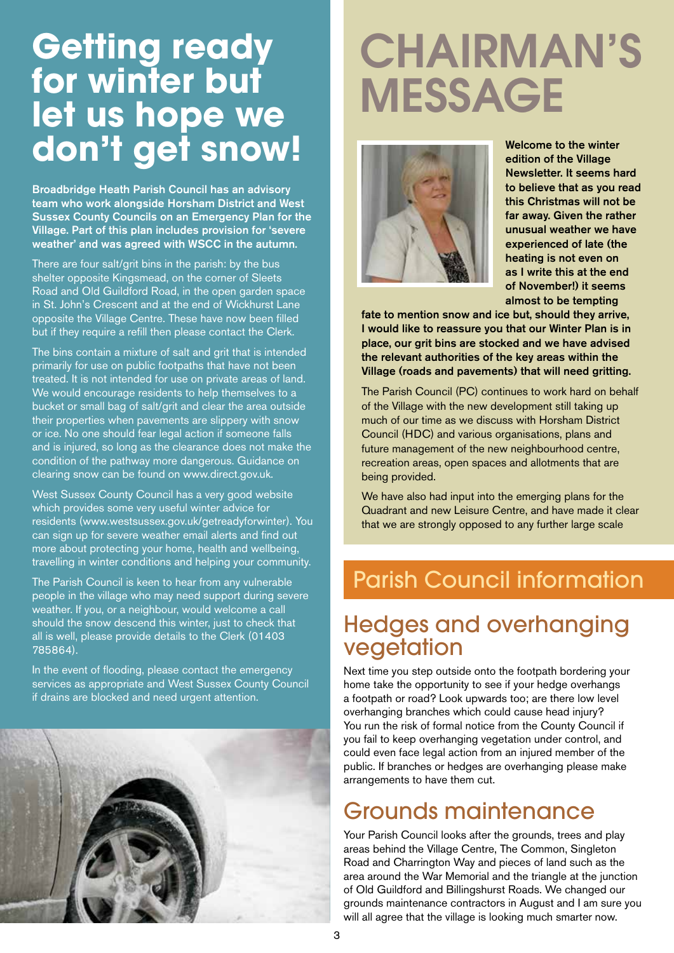# **Getting ready for winter but let us hope we don't get snow!**

Broadbridge Heath Parish Council has an advisory team who work alongside Horsham District and West Sussex County Councils on an Emergency Plan for the Village. Part of this plan includes provision for 'severe weather' and was agreed with WSCC in the autumn.

There are four salt/grit bins in the parish: by the bus shelter opposite Kingsmead, on the corner of Sleets Road and Old Guildford Road, in the open garden space in St. John's Crescent and at the end of Wickhurst Lane opposite the Village Centre. These have now been filled but if they require a refill then please contact the Clerk.

The bins contain a mixture of salt and grit that is intended primarily for use on public footpaths that have not been treated. It is not intended for use on private areas of land. We would encourage residents to help themselves to a bucket or small bag of salt/grit and clear the area outside their properties when pavements are slippery with snow or ice. No one should fear legal action if someone falls and is injured, so long as the clearance does not make the condition of the pathway more dangerous. Guidance on clearing snow can be found on www.direct.gov.uk.

West Sussex County Council has a very good website which provides some very useful winter advice for residents (www.westsussex.gov.uk/getreadyforwinter). You can sign up for severe weather email alerts and find out more about protecting your home, health and wellbeing, travelling in winter conditions and helping your community.

The Parish Council is keen to hear from any vulnerable people in the village who may need support during severe weather. If you, or a neighbour, would welcome a call should the snow descend this winter, just to check that all is well, please provide details to the Clerk (01403 785864).

In the event of flooding, please contact the emergency services as appropriate and West Sussex County Council if drains are blocked and need urgent attention.



# CHAIRMAN'S MESSAGE



Welcome to the winter edition of the Village Newsletter. It seems hard to believe that as you read this Christmas will not be far away. Given the rather unusual weather we have experienced of late (the heating is not even on as I write this at the end of November!) it seems almost to be tempting

fate to mention snow and ice but, should they arrive, I would like to reassure you that our Winter Plan is in place, our grit bins are stocked and we have advised the relevant authorities of the key areas within the Village (roads and pavements) that will need gritting.

The Parish Council (PC) continues to work hard on behalf of the Village with the new development still taking up much of our time as we discuss with Horsham District Council (HDC) and various organisations, plans and future management of the new neighbourhood centre, recreation areas, open spaces and allotments that are being provided.

We have also had input into the emerging plans for the Quadrant and new Leisure Centre, and have made it clear that we are strongly opposed to any further large scale

# Parish Council information

#### Hedges and overhanging vegetation

Next time you step outside onto the footpath bordering your home take the opportunity to see if your hedge overhangs a footpath or road? Look upwards too; are there low level overhanging branches which could cause head injury? You run the risk of formal notice from the County Council if you fail to keep overhanging vegetation under control, and could even face legal action from an injured member of the public. If branches or hedges are overhanging please make arrangements to have them cut.

## Grounds maintenance

Your Parish Council looks after the grounds, trees and play areas behind the Village Centre, The Common, Singleton Road and Charrington Way and pieces of land such as the area around the War Memorial and the triangle at the junction of Old Guildford and Billingshurst Roads. We changed our grounds maintenance contractors in August and I am sure you will all agree that the village is looking much smarter now.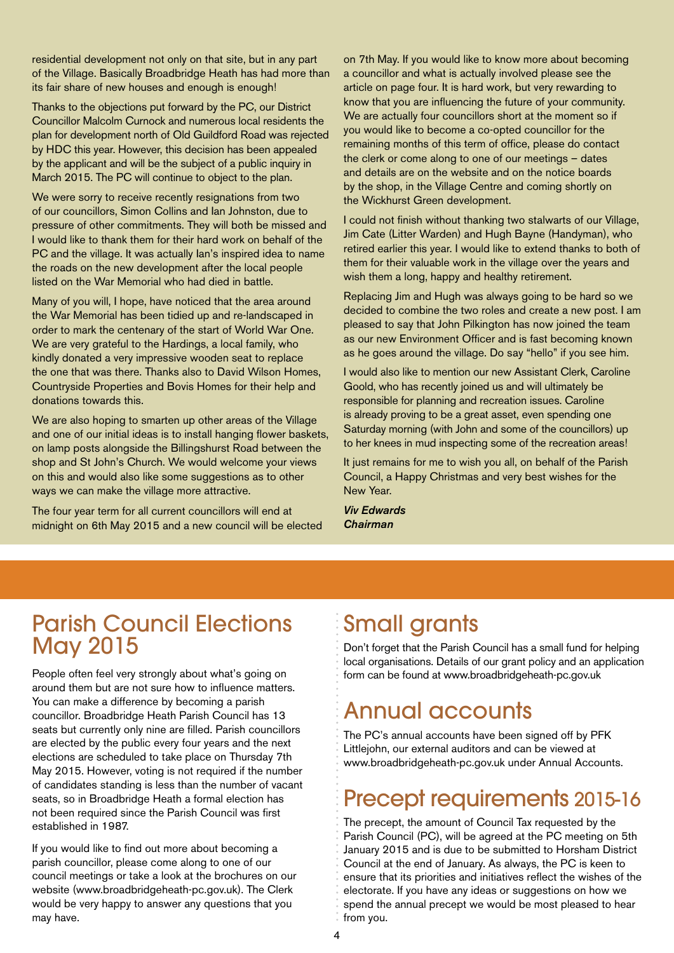residential development not only on that site, but in any part of the Village. Basically Broadbridge Heath has had more than its fair share of new houses and enough is enough!

Thanks to the objections put forward by the PC, our District Councillor Malcolm Curnock and numerous local residents the plan for development north of Old Guildford Road was rejected by HDC this year. However, this decision has been appealed by the applicant and will be the subject of a public inquiry in March 2015. The PC will continue to object to the plan.

We were sorry to receive recently resignations from two of our councillors, Simon Collins and Ian Johnston, due to pressure of other commitments. They will both be missed and I would like to thank them for their hard work on behalf of the PC and the village. It was actually lan's inspired idea to name the roads on the new development after the local people listed on the War Memorial who had died in battle.

Many of you will, I hope, have noticed that the area around the War Memorial has been tidied up and re-landscaped in order to mark the centenary of the start of World War One. We are very grateful to the Hardings, a local family, who kindly donated a very impressive wooden seat to replace the one that was there. Thanks also to David Wilson Homes, Countryside Properties and Bovis Homes for their help and donations towards this.

We are also hoping to smarten up other areas of the Village and one of our initial ideas is to install hanging flower baskets, on lamp posts alongside the Billingshurst Road between the shop and St John's Church. We would welcome your views on this and would also like some suggestions as to other ways we can make the village more attractive.

The four year term for all current councillors will end at midnight on 6th May 2015 and a new council will be elected

on 7th May. If you would like to know more about becoming a councillor and what is actually involved please see the article on page four. It is hard work, but very rewarding to know that you are influencing the future of your community. We are actually four councillors short at the moment so if you would like to become a co-opted councillor for the remaining months of this term of office, please do contact the clerk or come along to one of our meetings – dates and details are on the website and on the notice boards by the shop, in the Village Centre and coming shortly on the Wickhurst Green development.

I could not finish without thanking two stalwarts of our Village, Jim Cate (Litter Warden) and Hugh Bayne (Handyman), who retired earlier this year. I would like to extend thanks to both of them for their valuable work in the village over the years and wish them a long, happy and healthy retirement.

Replacing Jim and Hugh was always going to be hard so we decided to combine the two roles and create a new post. I am pleased to say that John Pilkington has now joined the team as our new Environment Officer and is fast becoming known as he goes around the village. Do say "hello" if you see him.

I would also like to mention our new Assistant Clerk, Caroline Goold, who has recently joined us and will ultimately be responsible for planning and recreation issues. Caroline is already proving to be a great asset, even spending one Saturday morning (with John and some of the councillors) up to her knees in mud inspecting some of the recreation areas!

It just remains for me to wish you all, on behalf of the Parish Council, a Happy Christmas and very best wishes for the New Year.

*Viv Edwards Chairman*

### Parish Council Elections May 2015

People often feel very strongly about what's going on around them but are not sure how to influence matters. You can make a difference by becoming a parish councillor. Broadbridge Heath Parish Council has 13 seats but currently only nine are filled. Parish councillors are elected by the public every four years and the next elections are scheduled to take place on Thursday 7th May 2015. However, voting is not required if the number of candidates standing is less than the number of vacant seats, so in Broadbridge Heath a formal election has not been required since the Parish Council was first established in 1987.

If you would like to find out more about becoming a parish councillor, please come along to one of our council meetings or take a look at the brochures on our website (www.broadbridgeheath-pc.gov.uk). The Clerk would be very happy to answer any questions that you may have.

# Small grants

Don't forget that the Parish Council has a small fund for helping local organisations. Details of our grant policy and an application form can be found at www.broadbridgeheath-pc.gov.uk

# Annual accounts

The PC's annual accounts have been signed off by PFK Littlejohn, our external auditors and can be viewed at www.broadbridgeheath-pc.gov.uk under Annual Accounts.

# Precept requirements 2015-16

The precept, the amount of Council Tax requested by the Parish Council (PC), will be agreed at the PC meeting on 5th January 2015 and is due to be submitted to Horsham District Council at the end of January. As always, the PC is keen to ensure that its priorities and initiatives reflect the wishes of the electorate. If you have any ideas or suggestions on how we spend the annual precept we would be most pleased to hear from you.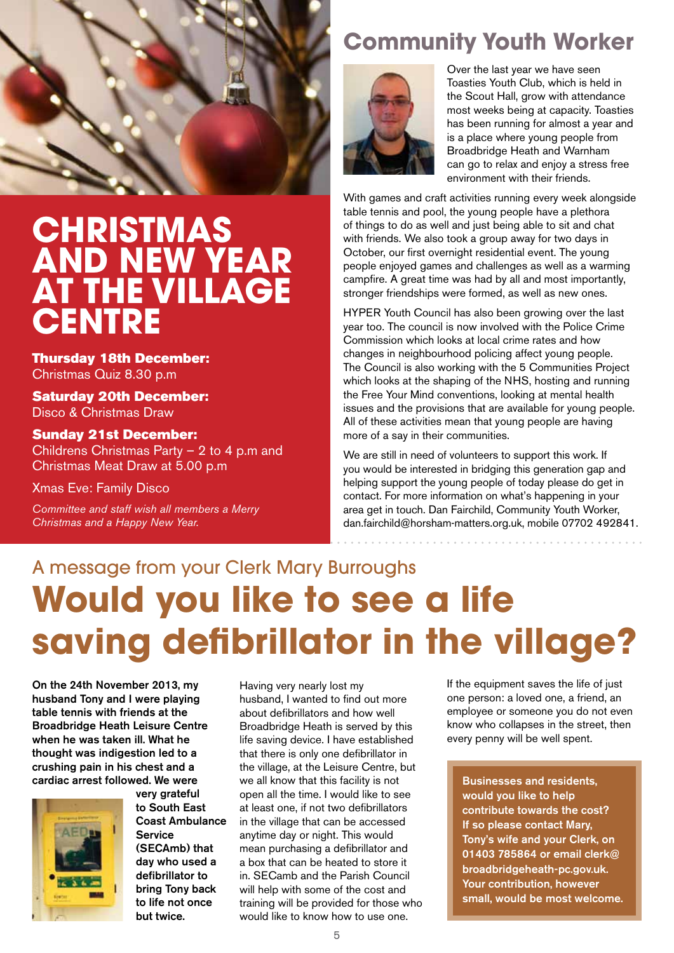

# **CHRISTMAS AND NEW YEAR AT THE VILLAGE CENTRE**

Thursday 18th December: Christmas Quiz 8.30 p.m

Saturday 20th December: Disco & Christmas Draw

#### Sunday 21st December:

Childrens Christmas Party – 2 to 4 p.m and Christmas Meat Draw at 5.00 p.m

Xmas Eve: Family Disco

*Committee and staff wish all members a Merry Christmas and a Happy New Year.*

# **Community Youth Worker**



Over the last year we have seen Toasties Youth Club, which is held in the Scout Hall, grow with attendance most weeks being at capacity. Toasties has been running for almost a year and is a place where young people from Broadbridge Heath and Warnham can go to relax and enjoy a stress free environment with their friends.

With games and craft activities running every week alongside table tennis and pool, the young people have a plethora of things to do as well and just being able to sit and chat with friends. We also took a group away for two days in October, our first overnight residential event. The young people enjoyed games and challenges as well as a warming campfire. A great time was had by all and most importantly, stronger friendships were formed, as well as new ones.

HYPER Youth Council has also been growing over the last year too. The council is now involved with the Police Crime Commission which looks at local crime rates and how changes in neighbourhood policing affect young people. The Council is also working with the 5 Communities Project which looks at the shaping of the NHS, hosting and running the Free Your Mind conventions, looking at mental health issues and the provisions that are available for young people. All of these activities mean that young people are having more of a say in their communities.

We are still in need of volunteers to support this work. If you would be interested in bridging this generation gap and helping support the young people of today please do get in contact. For more information on what's happening in your area get in touch. Dan Fairchild, Community Youth Worker, dan.fairchild@horsham-matters.org.uk, mobile 07702 492841.

# A message from your Clerk Mary Burroughs **Would you like to see a life saving defibrillator in the village?**

On the 24th November 2013, my husband Tony and I were playing table tennis with friends at the Broadbridge Heath Leisure Centre when he was taken ill. What he thought was indigestion led to a crushing pain in his chest and a cardiac arrest followed. We were



very grateful to South East Coast Ambulance Service (SECAmb) that day who used a defibrillator to bring Tony back to life not once but twice.

Having very nearly lost my husband, I wanted to find out more about defibrillators and how well Broadbridge Heath is served by this life saving device. I have established that there is only one defibrillator in the village, at the Leisure Centre, but we all know that this facility is not open all the time. I would like to see at least one, if not two defibrillators in the village that can be accessed anytime day or night. This would mean purchasing a defibrillator and a box that can be heated to store it in. SECamb and the Parish Council will help with some of the cost and training will be provided for those who would like to know how to use one.

If the equipment saves the life of just one person: a loved one, a friend, an employee or someone you do not even know who collapses in the street, then every penny will be well spent.

Businesses and residents, would you like to help contribute towards the cost? If so please contact Mary, Tony's wife and your Clerk, on 01403 785864 or email clerk@ broadbridgeheath-pc.gov.uk. Your contribution, however small, would be most welcome.